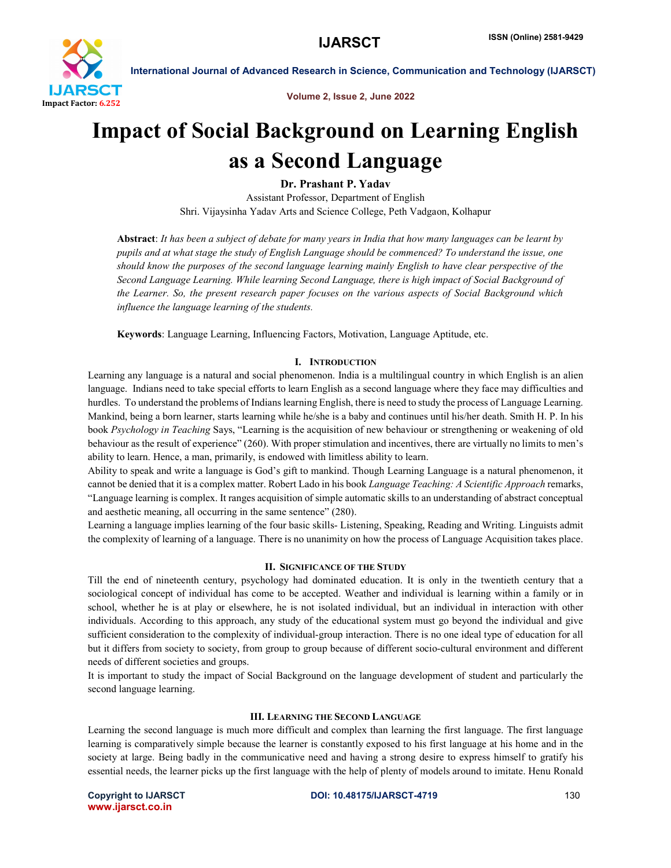

Volume 2, Issue 2, June 2022

# Impact of Social Background on Learning English as a Second Language

Dr. Prashant P. Yadav

Assistant Professor, Department of English Shri. Vijaysinha Yadav Arts and Science College, Peth Vadgaon, Kolhapur

Abstract: *It has been a subject of debate for many years in India that how many languages can be learnt by pupils and at what stage the study of English Language should be commenced? To understand the issue, one should know the purposes of the second language learning mainly English to have clear perspective of the Second Language Learning. While learning Second Language, there is high impact of Social Background of the Learner. So, the present research paper focuses on the various aspects of Social Background which influence the language learning of the students.*

Keywords: Language Learning, Influencing Factors, Motivation, Language Aptitude, etc.

#### I. INTRODUCTION

Learning any language is a natural and social phenomenon. India is a multilingual country in which English is an alien language. Indians need to take special efforts to learn English as a second language where they face may difficulties and hurdles. To understand the problems of Indians learning English, there is need to study the process of Language Learning. Mankind, being a born learner, starts learning while he/she is a baby and continues until his/her death. Smith H. P. In his book *Psychology in Teaching* Says, "Learning is the acquisition of new behaviour or strengthening or weakening of old behaviour as the result of experience" (260). With proper stimulation and incentives, there are virtually no limits to men's ability to learn. Hence, a man, primarily, is endowed with limitless ability to learn.

Ability to speak and write a language is God's gift to mankind. Though Learning Language is a natural phenomenon, it cannot be denied that it is a complex matter. Robert Lado in his book *Language Teaching: A Scientific Approach* remarks, "Language learning is complex. It ranges acquisition of simple automatic skills to an understanding of abstract conceptual and aesthetic meaning, all occurring in the same sentence" (280).

Learning a language implies learning of the four basic skills- Listening, Speaking, Reading and Writing. Linguists admit the complexity of learning of a language. There is no unanimity on how the process of Language Acquisition takes place.

#### II. SIGNIFICANCE OF THE STUDY

Till the end of nineteenth century, psychology had dominated education. It is only in the twentieth century that a sociological concept of individual has come to be accepted. Weather and individual is learning within a family or in school, whether he is at play or elsewhere, he is not isolated individual, but an individual in interaction with other individuals. According to this approach, any study of the educational system must go beyond the individual and give sufficient consideration to the complexity of individual-group interaction. There is no one ideal type of education for all but it differs from society to society, from group to group because of different socio-cultural environment and different needs of different societies and groups.

It is important to study the impact of Social Background on the language development of student and particularly the second language learning.

#### III. LEARNING THE SECOND LANGUAGE

Learning the second language is much more difficult and complex than learning the first language. The first language learning is comparatively simple because the learner is constantly exposed to his first language at his home and in the society at large. Being badly in the communicative need and having a strong desire to express himself to gratify his essential needs, the learner picks up the first language with the help of plenty of models around to imitate. Henu Ronald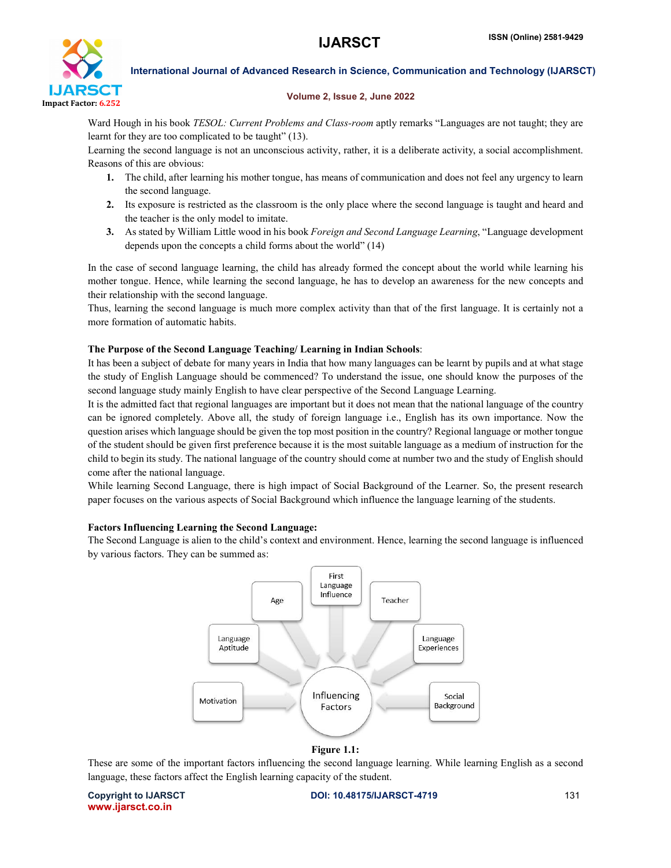

### Volume 2, Issue 2, June 2022

Ward Hough in his book *TESOL: Current Problems and Class-room* aptly remarks "Languages are not taught; they are learnt for they are too complicated to be taught" (13).

Learning the second language is not an unconscious activity, rather, it is a deliberate activity, a social accomplishment. Reasons of this are obvious:

- 1. The child, after learning his mother tongue, has means of communication and does not feel any urgency to learn the second language.
- 2. Its exposure is restricted as the classroom is the only place where the second language is taught and heard and the teacher is the only model to imitate.
- 3. As stated by William Little wood in his book *Foreign and Second Language Learning*, "Language development depends upon the concepts a child forms about the world" (14)

In the case of second language learning, the child has already formed the concept about the world while learning his mother tongue. Hence, while learning the second language, he has to develop an awareness for the new concepts and their relationship with the second language.

Thus, learning the second language is much more complex activity than that of the first language. It is certainly not a more formation of automatic habits.

#### The Purpose of the Second Language Teaching/ Learning in Indian Schools:

It has been a subject of debate for many years in India that how many languages can be learnt by pupils and at what stage the study of English Language should be commenced? To understand the issue, one should know the purposes of the second language study mainly English to have clear perspective of the Second Language Learning.

It is the admitted fact that regional languages are important but it does not mean that the national language of the country can be ignored completely. Above all, the study of foreign language i.e., English has its own importance. Now the question arises which language should be given the top most position in the country? Regional language or mother tongue of the student should be given first preference because it is the most suitable language as a medium of instruction for the child to begin its study. The national language of the country should come at number two and the study of English should come after the national language.

While learning Second Language, there is high impact of Social Background of the Learner. So, the present research paper focuses on the various aspects of Social Background which influence the language learning of the students.

# Factors Influencing Learning the Second Language:

The Second Language is alien to the child's context and environment. Hence, learning the second language is influenced by various factors. They can be summed as:



# Figure 1.1:

These are some of the important factors influencing the second language learning. While learning English as a second language, these factors affect the English learning capacity of the student.

www.ijarsct.co.in

Copyright to IJARSCT **DOI: 10.48175/IJARSCT-4719** 131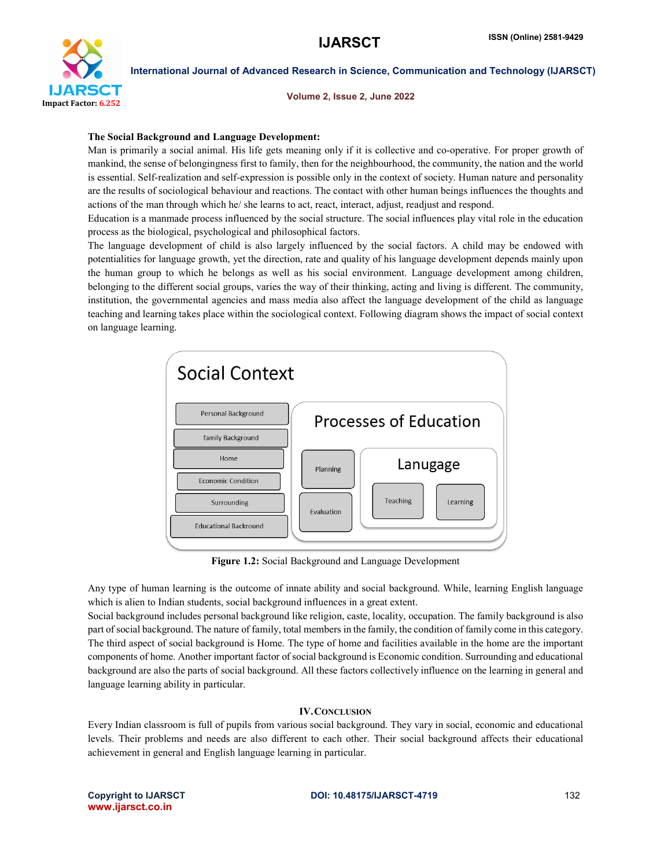

Volume 2, Issue 2, June 2022

### The Social Background and Language Development:

Man is primarily a social animal. His life gets meaning only if it is collective and co-operative. For proper growth of mankind, the sense of belongingness first to family, then for the neighbourhood, the community, the nation and the world is essential. Self-realization and self-expression is possible only in the context of society. Human nature and personality are the results of sociological behaviour and reactions. The contact with other human beings influences the thoughts and actions of the man through which he/ she learns to act, react, interact, adjust, readjust and respond.

Education is a manmade process influenced by the social structure. The social influences play vital role in the education process as the biological, psychological and philosophical factors.

The language development of child is also largely influenced by the social factors. A child may be endowed with potentialities for language growth, yet the direction, rate and quality of his language development depends mainly upon the human group to which he belongs as well as his social environment. Language development among children, belonging to the different social groups, varies the way of their thinking, acting and living is different. The community, institution, the governmental agencies and mass media also affect the language development of the child as language teaching and learning takes place within the sociological context. Following diagram shows the impact of social context on language learning.



Figure 1.2: Social Background and Language Development

Any type of human learning is the outcome of innate ability and social background. While, learning English language which is alien to Indian students, social background influences in a great extent.

Social background includes personal background like religion, caste, locality, occupation. The family background is also part of social background. The nature of family, total members in the family, the condition of family come in this category. The third aspect of social background is Home. The type of home and facilities available in the home are the important components of home. Another important factor of social background is Economic condition. Surrounding and educational background are also the parts of social background. All these factors collectively influence on the learning in general and language learning ability in particular.

# IV.CONCLUSION

Every Indian classroom is full of pupils from various social background. They vary in social, economic and educational levels. Their problems and needs are also different to each other. Their social background affects their educational achievement in general and English language learning in particular.